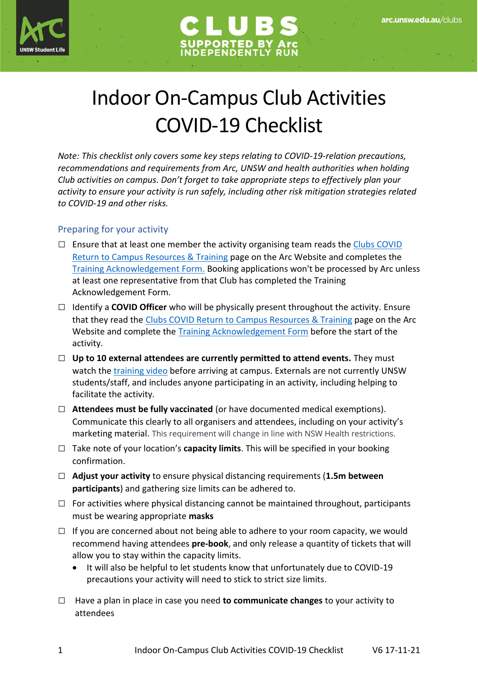



# Indoor On-Campus Club Activities COVID-19 Checklist

*Note: This checklist only covers some key steps relating to COVID-19-relation precautions, recommendations and requirements from Arc, UNSW and health authorities when holding Club activities on campus. Don't forget to take appropriate steps to effectively plan your activity to ensure your activity is run safely, including other risk mitigation strategies related to COVID-19 and other risks.*

### Preparing for your activity

- $\square$  Ensure that at least one member the activity organising team reads the Clubs COVID [Return to Campus Resources & Training](https://www.arc.unsw.edu.au/clubs/club-admin/clubs-covid-return-to-campus-resources-and-training-1) page on the Arc Website and completes the [Training Acknowledgement Form.](https://arclimited.formstack.com/forms/club_covid_returntocampus) Booking applications won't be processed by Arc unless at least one representative from that Club has completed the Training Acknowledgement Form.
- □ Identify a **COVID Officer** who will be physically present throughout the activity. Ensure that they read the Clubs COVID Return [to Campus Resources & Training](https://www.arc.unsw.edu.au/clubs/club-admin/clubs-covid-return-to-campus-resources-and-training-1) page on the Arc Website and complete the [Training Acknowledgement Form](https://arclimited.formstack.com/forms/club_covid_returntocampus) before the start of the activity.
- □ Up to 10 external attendees are currently permitted to attend events. They must watch the [training video](https://www.covid-19.unsw.edu.au/safe-return-campus-external-workers) before arriving at campus. Externals are not currently UNSW students/staff, and includes anyone participating in an activity, including helping to facilitate the activity.
- **□ Attendees must be fully vaccinated** (or have documented medical exemptions). Communicate this clearly to all organisers and attendees, including on your activity's marketing material. This requirement will change in line with NSW Health restrictions.
- □ Take note of your location's **capacity limits**. This will be specified in your booking confirmation.
- □ **Adjust your activity** to ensure physical distancing requirements (**1.5m between participants**) and gathering size limits can be adhered to.
- $\Box$  For activities where physical distancing cannot be maintained throughout, participants must be wearing appropriate **masks**
- $\Box$  If you are concerned about not being able to adhere to your room capacity, we would recommend having attendees **pre-book**, and only release a quantity of tickets that will allow you to stay within the capacity limits.
	- It will also be helpful to let students know that unfortunately due to COVID-19 precautions your activity will need to stick to strict size limits.
- □ Have a plan in place in case you need **to communicate changes** to your activity to attendees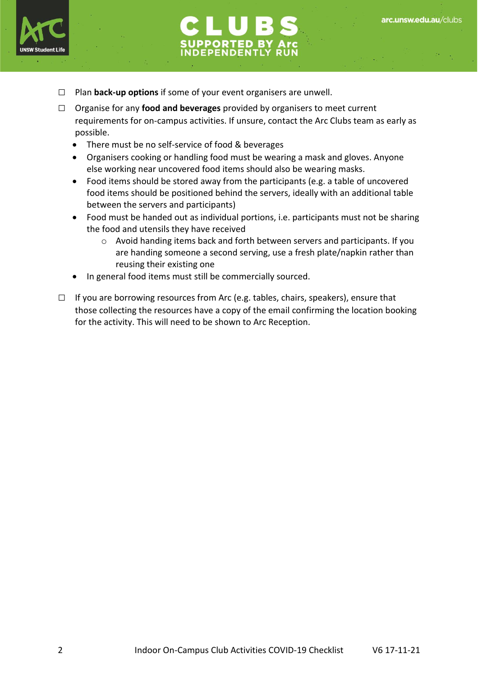

- □ Plan **back-up options** if some of your event organisers are unwell.
- □ Organise for any **food and beverages** provided by organisers to meet current requirements for on-campus activities. If unsure, contact the Arc Clubs team as early as possible.
	- There must be no self-service of food & beverages
	- Organisers cooking or handling food must be wearing a mask and gloves. Anyone else working near uncovered food items should also be wearing masks.
	- Food items should be stored away from the participants (e.g. a table of uncovered food items should be positioned behind the servers, ideally with an additional table between the servers and participants)
	- Food must be handed out as individual portions, i.e. participants must not be sharing the food and utensils they have received
		- o Avoid handing items back and forth between servers and participants. If you are handing someone a second serving, use a fresh plate/napkin rather than reusing their existing one
	- In general food items must still be commercially sourced.
- $\Box$  If you are borrowing resources from Arc (e.g. tables, chairs, speakers), ensure that those collecting the resources have a copy of the email confirming the location booking for the activity. This will need to be shown to Arc Reception.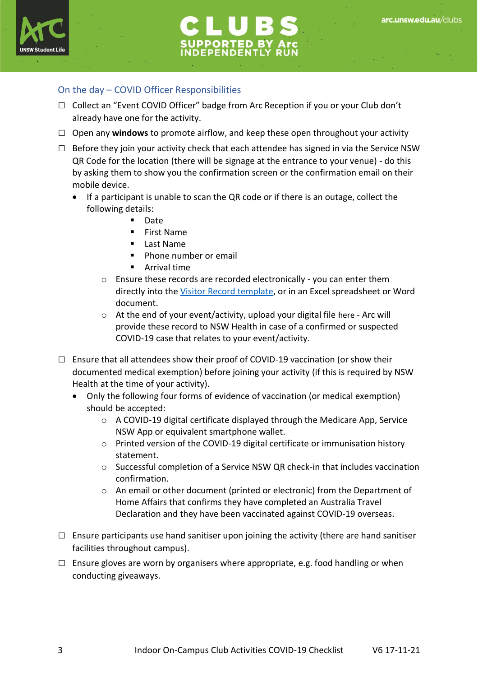



### On the day – COVID Officer Responsibilities

- □ Collect an "Event COVID Officer" badge from Arc Reception if you or your Club don't already have one for the activity.
- □ Open any **windows** to promote airflow, and keep these open throughout your activity
- $\square$  Before they join your activity check that each attendee has signed in via the Service NSW QR Code for the location (there will be signage at the entrance to your venue) - do this by asking them to show you the confirmation screen or the confirmation email on their mobile device.
	- If a participant is unable to scan the QR code or if there is an outage, collect the following details:
		- **Date**
		- **First Name**
		- Last Name
		- Phone number or email
		- Arrival time
		- o Ensure these records are recorded electronically you can enter them directly into the [Visitor Record template,](https://www.nsw.gov.au/sites/default/files/2020-09/COVID-19-record-of-visitors-at-premises-form.pdf) or in an Excel spreadsheet or Word document.
		- o At the end of your event/activity, upload your digital file [here](https://arclimited.formstack.com/forms/covid_record_of_visitors_at_premises) Arc will provide these record to NSW Health in case of a confirmed or suspected COVID-19 case that relates to your event/activity.
- $\square$  Ensure that all attendees show their proof of COVID-19 vaccination (or show their documented medical exemption) before joining your activity (if this is required by NSW Health at the time of your activity).
	- Only the following four forms of evidence of vaccination (or medical exemption) should be accepted:
		- $\circ$  A COVID-19 digital certificate displayed through the Medicare App, Service NSW App or equivalent smartphone wallet.
		- o Printed version of the COVID-19 digital certificate or immunisation history statement.
		- o Successful completion of a Service NSW QR check-in that includes vaccination confirmation.
		- o An email or other document (printed or electronic) from the Department of Home Affairs that confirms they have completed an Australia Travel Declaration and they have been vaccinated against COVID-19 overseas.
- $\square$  Ensure participants use hand sanitiser upon joining the activity (there are hand sanitiser facilities throughout campus).
- $\square$  Ensure gloves are worn by organisers where appropriate, e.g. food handling or when conducting giveaways.